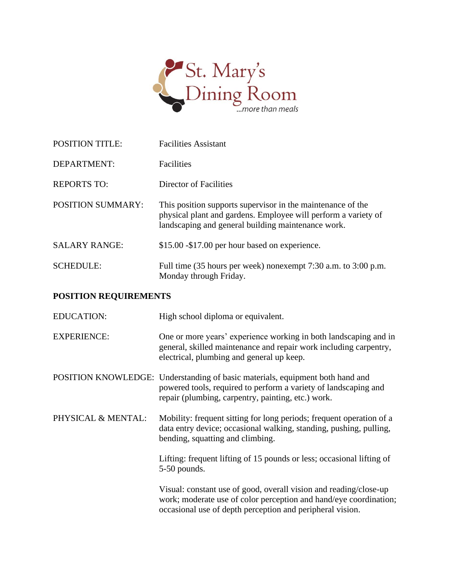

| <b>POSITION TITLE:</b>   | <b>Facilities Assistant</b>                                                                                                                                                                            |
|--------------------------|--------------------------------------------------------------------------------------------------------------------------------------------------------------------------------------------------------|
| DEPARTMENT:              | Facilities                                                                                                                                                                                             |
| <b>REPORTS TO:</b>       | Director of Facilities                                                                                                                                                                                 |
| <b>POSITION SUMMARY:</b> | This position supports supervisor in the maintenance of the<br>physical plant and gardens. Employee will perform a variety of<br>landscaping and general building maintenance work.                    |
| <b>SALARY RANGE:</b>     | \$15.00 - \$17.00 per hour based on experience.                                                                                                                                                        |
| <b>SCHEDULE:</b>         | Full time (35 hours per week) nonexempt 7:30 a.m. to 3:00 p.m.<br>Monday through Friday.                                                                                                               |
| POSITION REQUIREMENTS    |                                                                                                                                                                                                        |
| <b>EDUCATION:</b>        | High school diploma or equivalent.                                                                                                                                                                     |
| <b>EXPERIENCE:</b>       | One or more years' experience working in both landscaping and in<br>general, skilled maintenance and repair work including carpentry,<br>electrical, plumbing and general up keep.                     |
|                          | POSITION KNOWLEDGE: Understanding of basic materials, equipment both hand and<br>powered tools, required to perform a variety of landscaping and<br>repair (plumbing, carpentry, painting, etc.) work. |
| PHYSICAL & MENTAL:       | Mobility: frequent sitting for long periods; frequent operation of a<br>data entry device; occasional walking, standing, pushing, pulling,<br>bending, squatting and climbing.                         |
|                          | Lifting: frequent lifting of 15 pounds or less; occasional lifting of<br>5-50 pounds.                                                                                                                  |
|                          | Visual: constant use of good, overall vision and reading/close-up<br>work; moderate use of color perception and hand/eye coordination;                                                                 |

occasional use of depth perception and peripheral vision.